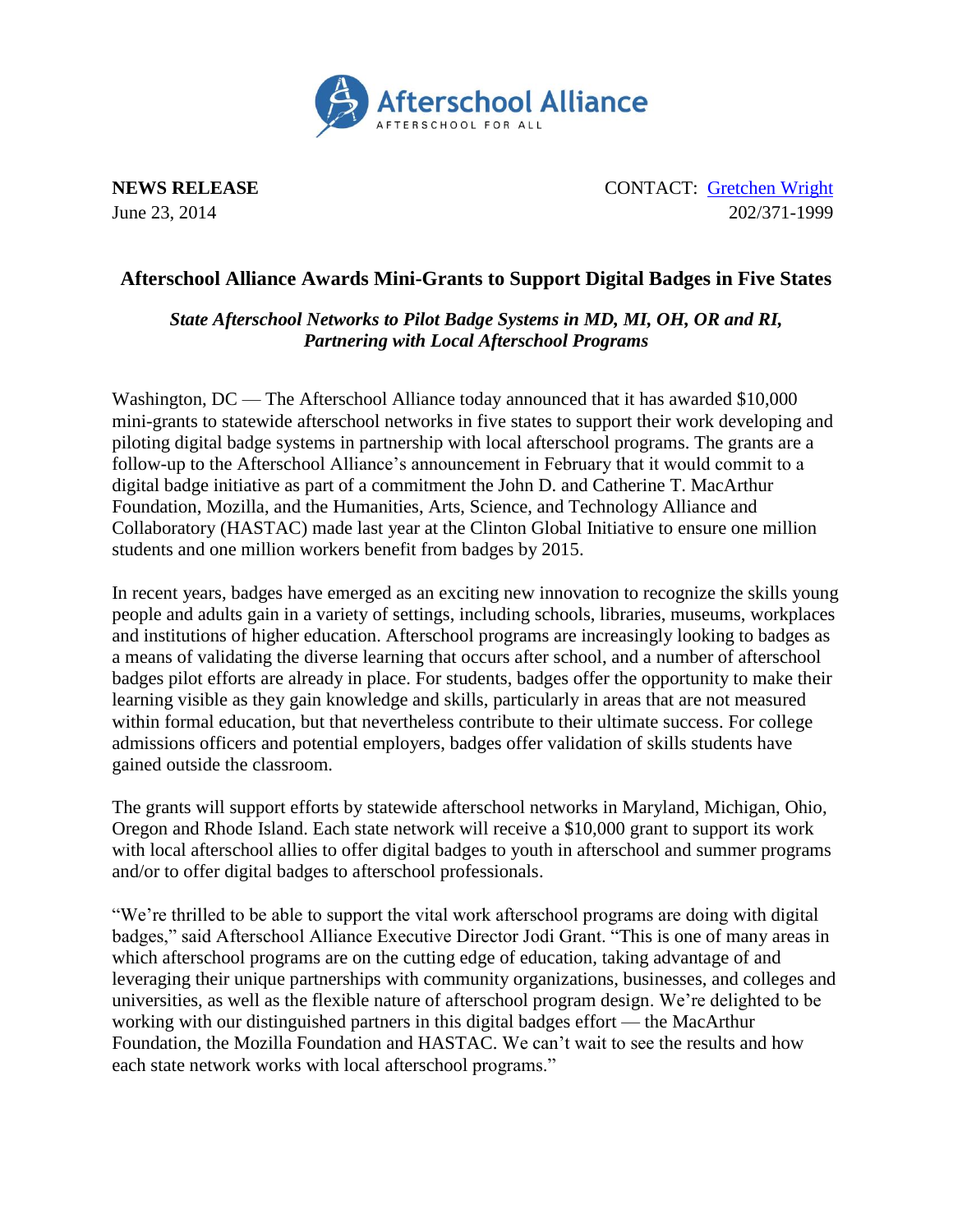

**NEWS RELEASE** CONTACT: [Gretchen Wright](mailto:gretchen@prsolutionsdc.com?subject=Digital%20Badges) June 23, 2014 202/371-1999

## **Afterschool Alliance Awards Mini-Grants to Support Digital Badges in Five States**

*State Afterschool Networks to Pilot Badge Systems in MD, MI, OH, OR and RI, Partnering with Local Afterschool Programs*

Washington, DC — The Afterschool Alliance today announced that it has awarded \$10,000 mini-grants to statewide afterschool networks in five states to support their work developing and piloting digital badge systems in partnership with local afterschool programs. The grants are a follow-up to the Afterschool Alliance's announcement in February that it would commit to a digital badge initiative as part of a commitment the John D. and Catherine T. MacArthur Foundation, Mozilla, and the Humanities, Arts, Science, and Technology Alliance and Collaboratory (HASTAC) made last year at the Clinton Global Initiative to ensure one million students and one million workers benefit from badges by 2015.

In recent years, [badges](http://openbadges.org/about/) have emerged as an exciting new innovation to recognize the skills young people and adults gain in a variety of settings, including schools, libraries, museums, workplaces and institutions of higher education. Afterschool programs are increasingly looking to badges as a means of validating the diverse learning that occurs after school, and a number of afterschool badges pilot efforts are already in place. For students, badges offer the opportunity to make their learning visible as they gain knowledge and skills, particularly in areas that are not measured within formal education, but that nevertheless contribute to their ultimate success. For college admissions officers and potential employers, badges offer validation of skills students have gained outside the classroom.

The grants will support efforts by statewide afterschool networks in Maryland, Michigan, Ohio, Oregon and Rhode Island. Each state network will receive a \$10,000 grant to support its work with local afterschool allies to offer digital badges to youth in afterschool and summer programs and/or to offer digital badges to afterschool professionals.

"We're thrilled to be able to support the vital work afterschool programs are doing with digital badges," said Afterschool Alliance Executive Director Jodi Grant. "This is one of many areas in which afterschool programs are on the cutting edge of education, taking advantage of and leveraging their unique partnerships with community organizations, businesses, and colleges and universities, as well as the flexible nature of afterschool program design. We're delighted to be working with our distinguished partners in this digital badges effort — the MacArthur Foundation, the Mozilla Foundation and HASTAC. We can't wait to see the results and how each state network works with local afterschool programs."